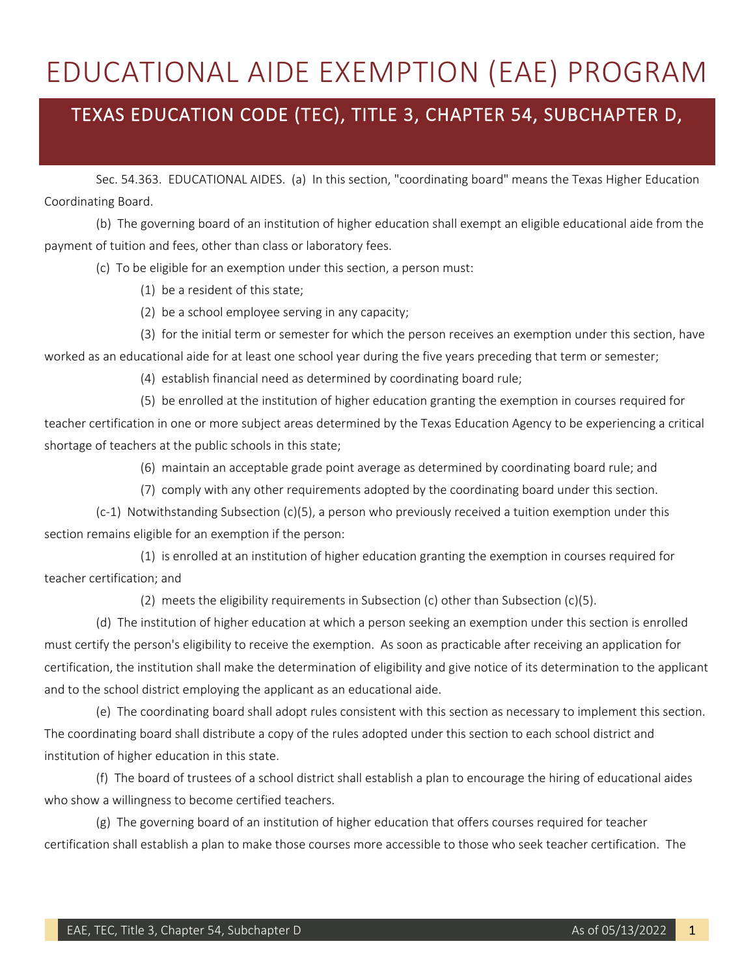## EDUCATIONAL AIDE EXEMPTION (EAE) PROGRAM

## TEXAS EDUCATION CODE (TEC), TITLE 3, CHAPTER 54, SUBCHAPTER D,

Sec. 54.363. EDUCATIONAL AIDES. (a) In this section, "coordinating board" means the Texas Higher Education Coordinating Board.

(b) The governing board of an institution of higher education shall exempt an eligible educational aide from the payment of tuition and fees, other than class or laboratory fees.

(c) To be eligible for an exemption under this section, a person must:

- (1) be a resident of this state;
- (2) be a school employee serving in any capacity;

(3) for the initial term or semester for which the person receives an exemption under this section, have worked as an educational aide for at least one school year during the five years preceding that term or semester;

(4) establish financial need as determined by coordinating board rule;

(5) be enrolled at the institution of higher education granting the exemption in courses required for teacher certification in one or more subject areas determined by the Texas Education Agency to be experiencing a critical shortage of teachers at the public schools in this state;

(6) maintain an acceptable grade point average as determined by coordinating board rule; and

(7) comply with any other requirements adopted by the coordinating board under this section.

(c-1) Notwithstanding Subsection (c)(5), a person who previously received a tuition exemption under this section remains eligible for an exemption if the person:

(1) is enrolled at an institution of higher education granting the exemption in courses required for teacher certification; and

(2) meets the eligibility requirements in Subsection (c) other than Subsection (c)(5).

(d) The institution of higher education at which a person seeking an exemption under this section is enrolled must certify the person's eligibility to receive the exemption. As soon as practicable after receiving an application for certification, the institution shall make the determination of eligibility and give notice of its determination to the applicant and to the school district employing the applicant as an educational aide.

(e) The coordinating board shall adopt rules consistent with this section as necessary to implement this section. The coordinating board shall distribute a copy of the rules adopted under this section to each school district and institution of higher education in this state.

(f) The board of trustees of a school district shall establish a plan to encourage the hiring of educational aides who show a willingness to become certified teachers.

(g) The governing board of an institution of higher education that offers courses required for teacher certification shall establish a plan to make those courses more accessible to those who seek teacher certification. The